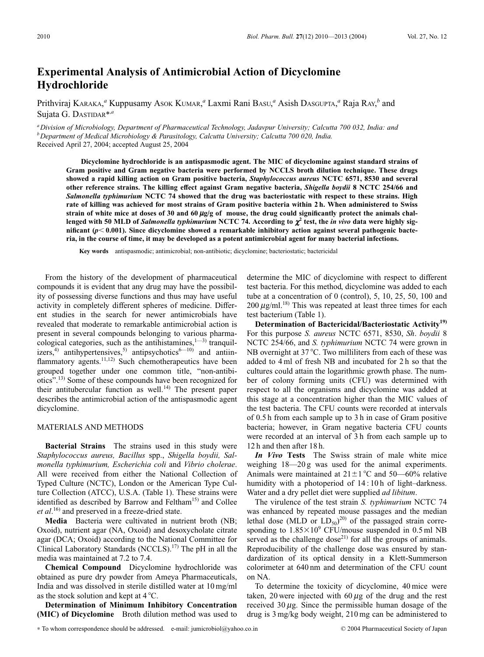## **Experimental Analysis of Antimicrobial Action of Dicyclomine Hydrochloride**

Prithviraj KARAKA,<sup>a</sup> Kuppusamy Asok KUMAR,<sup>a</sup> Laxmi Rani BAsu,<sup>a</sup> Asish DAsgupta,<sup>a</sup> Raja RAY,<sup>b</sup> and Sujata G. DASTIDAR\*,*<sup>a</sup>*

*aDivision of Microbiology, Department of Pharmaceutical Technology, Jadavpur University; Calcutta 700 032, India: and bDepartment of Medical Microbiology & Parasitology, Calcutta University; Calcutta 700 020, India.* Received April 27, 2004; accepted August 25, 2004

**Dicyclomine hydrochloride is an antispasmodic agent. The MIC of dicyclomine against standard strains of Gram positive and Gram negative bacteria were performed by NCCLS broth dilution technique. These drugs showed a rapid killing action on Gram positive bacteria,** *Staphylococcus aureus* **NCTC 6571, 8530 and several other reference strains. The killing effect against Gram negative bacteria,** *Shigella boydii* **8 NCTC 254/66 and** *Salmonella typhimurium* **NCTC 74 showed that the drug was bacteriostatic with respect to these strains. High rate of killing was achieved for most strains of Gram positive bacteria within 2 h. When administered to Swiss** strain of white mice at doses of 30 and 60  $\mu$ g/g of mouse, the drug could significantly protect the animals challenged with 50 MLD of *Salmonella typhimurium* NCTC 74. According to  $\chi^2$  test, the *in vivo* data were highly sig**nificant (***p* **0.001). Since dicyclomine showed a remarkable inhibitory action against several pathogenic bacteria, in the course of time, it may be developed as a potent antimicrobial agent for many bacterial infections.**

**Key words** antispasmodic; antimicrobial; non-antibiotic; dicyclomine; bacteriostatic; bactericidal

From the history of the development of pharmaceutical compounds it is evident that any drug may have the possibility of possessing diverse functions and thus may have useful activity in completely different spheres of medicine. Different studies in the search for newer antimicrobials have revealed that moderate to remarkable antimicrobial action is present in several compounds belonging to various pharmacological categories, such as the antihistamines, $1^{-3}$  tranquilizers,<sup>4)</sup> antihypertensives,<sup>5)</sup> antipsychotics<sup>6—10)</sup> and antiinflammatory agents.<sup>11,12)</sup> Such chemotherapeutics have been grouped together under one common title, "non-antibiotics".13) Some of these compounds have been recognized for their antitubercular function as well.<sup>14)</sup> The present paper describes the antimicrobial action of the antispasmodic agent dicyclomine.

## MATERIALS AND METHODS

**Bacterial Strains** The strains used in this study were *Staphylococcus aureus, Bacillus* spp., *Shigella boydii, Salmonella typhimurium, Escherichia coli* and *Vibrio cholerae*. All were received from either the National Collection of Typed Culture (NCTC), London or the American Type Culture Collection (ATCC), U.S.A. (Table 1). These strains were identified as described by Barrow and Feltham<sup>15)</sup> and Collee *et al*. 16) and preserved in a freeze-dried state.

**Media** Bacteria were cultivated in nutrient broth (NB; Oxoid), nutrient agar (NA, Oxoid) and desoxycholate citrate agar (DCA; Oxoid) according to the National Committee for Clinical Laboratory Standards (NCCLS).<sup>17)</sup> The pH in all the media was maintained at 7.2 to 7.4.

**Chemical Compound** Dicyclomine hydrochloride was obtained as pure dry powder from Ameya Pharmaceuticals, India and was dissolved in sterile distilled water at 10 mg/ml as the stock solution and kept at  $4^{\circ}$ C.

**Determination of Minimum Inhibitory Concentration (MIC) of Dicyclomine** Broth dilution method was used to

determine the MIC of dicyclomine with respect to different test bacteria. For this method, dicyclomine was added to each tube at a concentration of 0 (control), 5, 10, 25, 50, 100 and  $200 \mu g/ml$ .<sup>18)</sup> This was repeated at least three times for each test bacterium (Table 1).

**Determination of Bactericidal/Bacteriostatic Activity19)** For this purpose *S. aureus* NCTC 6571, 8530, *Sh*. *boydii* 8 NCTC 254/66, and *S. typhimurium* NCTC 74 were grown in NB overnight at  $37^{\circ}$ C. Two milliliters from each of these was added to 4 ml of fresh NB and incubated for 2 h so that the cultures could attain the logarithmic growth phase. The number of colony forming units (CFU) was determined with respect to all the organisms and dicyclomine was added at this stage at a concentration higher than the MIC values of the test bacteria. The CFU counts were recorded at intervals of 0.5 h from each sample up to 3 h in case of Gram positive bacteria; however, in Gram negative bacteria CFU counts were recorded at an interval of 3 h from each sample up to 12 h and then after 18 h.

*In Vivo* **Tests** The Swiss strain of male white mice weighing 18—20 g was used for the animal experiments. Animals were maintained at  $21 \pm 1$  °C and 50—60% relative humidity with a photoperiod of 14:10h of light–darkness. Water and a dry pellet diet were supplied *ad libitum*.

The virulence of the test strain *S. typhimurium* NCTC 74 was enhanced by repeated mouse passages and the median lethal dose (MLD or  $LD_{50}$ )<sup>20)</sup> of the passaged strain corresponding to  $1.85\times10^9$  CFU/mouse suspended in 0.5 ml NB served as the challenge dose $^{21}$  for all the groups of animals. Reproducibility of the challenge dose was ensured by standardization of its optical density in a Klett-Summerson colorimeter at 640 nm and determination of the CFU count on NA.

To determine the toxicity of dicyclomine, 40 mice were taken, 20 were injected with 60  $\mu$ g of the drug and the rest received  $30 \mu$ g. Since the permissible human dosage of the drug is 3 mg/kg body weight, 210 mg can be administered to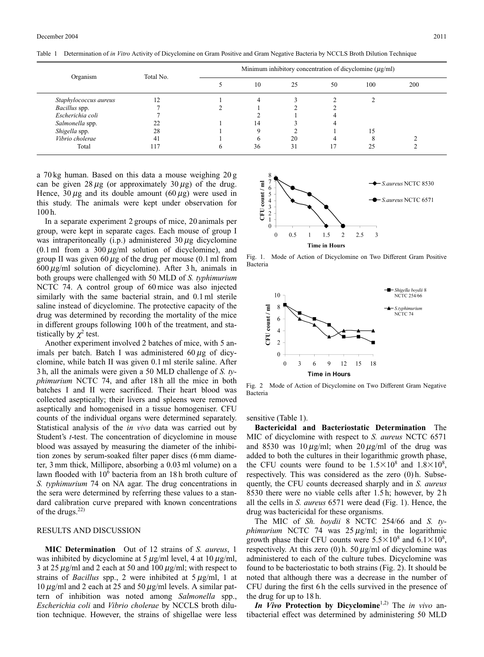| Organism              | Total No.  | Minimum inhibitory concentration of dicyclomine $(\mu g/ml)$ |    |    |    |     |     |
|-----------------------|------------|--------------------------------------------------------------|----|----|----|-----|-----|
|                       |            |                                                              | 10 | 25 | 50 | 100 | 200 |
| Staphylococcus aureus | $\bigcirc$ |                                                              |    |    |    |     |     |
| Bacillus spp.         |            |                                                              |    |    |    |     |     |
| Escherichia coli      |            |                                                              |    |    |    |     |     |
| Salmonella spp.       |            |                                                              | 14 |    |    |     |     |
| Shigella spp.         | 28         |                                                              |    |    |    | ۱5  |     |
| Vibrio cholerae       | 41         |                                                              | 6  | 20 |    |     |     |
| Total                 |            |                                                              | 36 | 31 |    |     |     |

Table 1 Determination of *in Vitro* Activity of Dicyclomine on Gram Positive and Gram Negative Bacteria by NCCLS Broth Dilution Technique

a 70 kg human. Based on this data a mouse weighing 20 g can be given  $28 \mu$ g (or approximately  $30 \mu$ g) of the drug. Hence,  $30 \mu$ g and its double amount  $(60 \mu$ g) were used in this study. The animals were kept under observation for 100 h.

In a separate experiment 2 groups of mice, 20 animals per group, were kept in separate cages. Each mouse of group I was intraperitoneally  $(i.p.)$  administered 30  $\mu$ g dicyclomine (0.1 ml from a 300  $\mu$ g/ml solution of dicyclomine), and group II was given 60  $\mu$ g of the drug per mouse (0.1 ml from  $600 \mu g/ml$  solution of dicyclomine). After 3 h, animals in both groups were challenged with 50 MLD of *S. typhimurium* NCTC 74. A control group of 60 mice was also injected similarly with the same bacterial strain, and  $0.1$  ml sterile saline instead of dicyclomine. The protective capacity of the drug was determined by recording the mortality of the mice in different groups following 100 h of the treatment, and statistically by  $\chi^2$  test.

Another experiment involved 2 batches of mice, with 5 animals per batch. Batch I was administered  $60 \mu$ g of dicyclomine, while batch II was given 0.1 ml sterile saline. After 3 h, all the animals were given a 50 MLD challenge of *S. typhimurium* NCTC 74, and after 18 h all the mice in both batches I and II were sacrificed. Their heart blood was collected aseptically; their livers and spleens were removed aseptically and homogenised in a tissue homogeniser. CFU counts of the individual organs were determined separately. Statistical analysis of the *in vivo* data was carried out by Student's *t*-test. The concentration of dicyclomine in mouse blood was assayed by measuring the diameter of the inhibition zones by serum-soaked filter paper discs (6 mm diameter, 3 mm thick, Millipore, absorbing a 0.03 ml volume) on a lawn flooded with 10<sup>6</sup> bacteria from an 18 h broth culture of *S. typhimurium* 74 on NA agar. The drug concentrations in the sera were determined by referring these values to a standard calibration curve prepared with known concentrations of the drugs.<sup>22)</sup>

## RESULTS AND DISCUSSION

**MIC Determination** Out of 12 strains of *S. aureus*, 1 was inhibited by dicyclomine at 5  $\mu$ g/ml level, 4 at 10  $\mu$ g/ml, 3 at 25  $\mu$ g/ml and 2 each at 50 and 100  $\mu$ g/ml; with respect to strains of *Bacillus* spp., 2 were inhibited at  $5 \mu g/ml$ , 1 at  $10 \mu g/ml$  and 2 each at 25 and 50  $\mu g/ml$  levels. A similar pattern of inhibition was noted among *Salmonella* spp., *Escherichia coli* and *Vibrio cholerae* by NCCLS broth dilution technique. However, the strains of shigellae were less



Fig. 1. Mode of Action of Dicyclomine on Two Different Gram Positive Bacteria



Fig. 2 Mode of Action of Dicyclomine on Two Different Gram Negative Bacteria

sensitive (Table 1).

**Bactericidal and Bacteriostatic Determination** The MIC of dicyclomine with respect to *S. aureus* NCTC 6571 and 8530 was 10  $\mu$ g/ml; when 20  $\mu$ g/ml of the drug was added to both the cultures in their logarithmic growth phase, the CFU counts were found to be  $1.5 \times 10^8$  and  $1.8 \times 10^8$ , respectively. This was considered as the zero (0) h. Subsequently, the CFU counts decreased sharply and in *S. aureus* 8530 there were no viable cells after 1.5 h; however, by 2 h all the cells in *S. aureus* 6571 were dead (Fig. 1). Hence, the drug was bactericidal for these organisms.

The MIC of *Sh. boydii* 8 NCTC 254/66 and *S. typhimurium* NCTC 74 was  $25 \mu g/ml$ ; in the logarithmic growth phase their CFU counts were  $5.5 \times 10^8$  and  $6.1 \times 10^8$ , respectively. At this zero (0) h. 50  $\mu$ g/ml of dicyclomine was administered to each of the culture tubes. Dicyclomine was found to be bacteriostatic to both strains (Fig. 2). It should be noted that although there was a decrease in the number of CFU during the first 6 h the cells survived in the presence of the drug for up to 18 h.

*In Vivo* **Protection by Dicyclomine**1,2) The *in vivo* antibacterial effect was determined by administering 50 MLD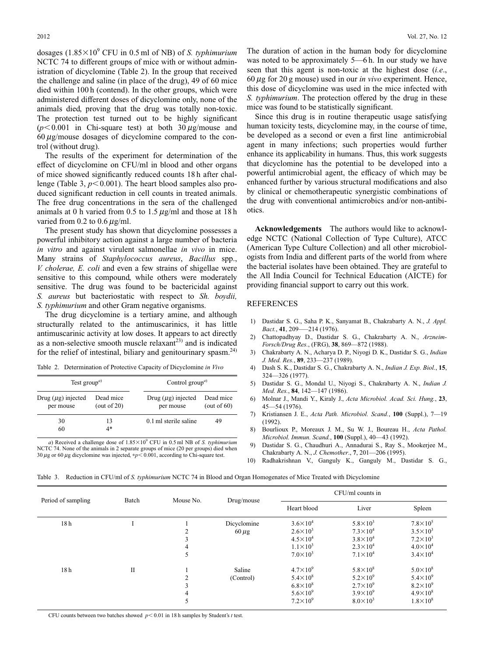dosages  $(1.85\times10^9$  CFU in 0.5 ml of NB) of *S. typhimurium* NCTC 74 to different groups of mice with or without administration of dicyclomine (Table 2). In the group that received the challenge and saline (in place of the drug), 49 of 60 mice died within 100 h (contend). In the other groups, which were administered different doses of dicyclomine only, none of the animals died, proving that the drug was totally non-toxic. The protection test turned out to be highly significant  $(p<0.001$  in Chi-square test) at both 30  $\mu$ g/mouse and  $60 \mu g/m$ ouse dosages of dicyclomine compared to the control (without drug).

The results of the experiment for determination of the effect of dicyclomine on CFU/ml in blood and other organs of mice showed significantly reduced counts 18 h after challenge (Table 3,  $p<0.001$ ). The heart blood samples also produced significant reduction in cell counts in treated animals. The free drug concentrations in the sera of the challenged animals at 0 h varied from 0.5 to 1.5  $\mu$ g/ml and those at 18 h varied from 0.2 to 0.6  $\mu$ g/ml.

The present study has shown that dicyclomine possesses a powerful inhibitory action against a large number of bacteria *in vitro* and against virulent salmonellae *in vivo* in mice. Many strains of *Staphylococcus aureus*, *Bacillus* spp., *V. cholerae, E. coli* and even a few strains of shigellae were sensitive to this compound, while others were moderately sensitive. The drug was found to be bactericidal against *S. aureus* but bacteriostatic with respect to *Sh. boydii, S. typhimurium* and other Gram negative organisms.

The drug dicyclomine is a tertiary amine, and although structurally related to the antimuscarinics, it has little antimuscarinic activity at low doses. It appears to act directly as a non-selective smooth muscle relaxant<sup>23)</sup> and is indicated for the relief of intestinal, biliary and genitourinary spasm.<sup>24)</sup>

Table 2. Determination of Protective Capacity of Dicyclomine *in Vivo*

| Test group <sup><i>a</i>)</sup>      |                             | Control group <sup><i>a</i>)</sup>   |                             |  |  |
|--------------------------------------|-----------------------------|--------------------------------------|-----------------------------|--|--|
| Drug $(\mu g)$ injected<br>per mouse | Dead mice<br>(out of $20$ ) | Drug $(\mu$ g) injected<br>per mouse | Dead mice<br>(out of $60$ ) |  |  |
| 30<br>60                             | 13<br>4*                    | 0.1 ml sterile saline                | 49                          |  |  |

*a*) Received a challenge dose of  $1.85 \times 10^9$  CFU in 0.5 ml NB of *S. typhimurium* NCTC 74. None of the animals in 2 separate groups of mice (20 per groups) died when 30  $\mu$ g or 60  $\mu$ g dicyclomine was injected, \* $p$  < 0.001, according to Chi-square test.

The duration of action in the human body for dicyclomine was noted to be approximately 5—6 h. In our study we have seen that this agent is non-toxic at the highest dose (*i.e*.,  $60 \mu$ g for 20 g mouse) used in our *in vivo* experiment. Hence, this dose of dicyclomine was used in the mice infected with *S. typhimurium*. The protection offered by the drug in these mice was found to be statistically significant.

Since this drug is in routine therapeutic usage satisfying human toxicity tests, dicyclomine may, in the course of time, be developed as a second or even a first line antimicrobial agent in many infections; such properties would further enhance its applicability in humans. Thus, this work suggests that dicyclomine has the potential to be developed into a powerful antimicrobial agent, the efficacy of which may be enhanced further by various structural modifications and also by clinical or chemotherapeutic synergistic combinations of the drug with conventional antimicrobics and/or non-antibiotics.

**Acknowledgements** The authors would like to acknowledge NCTC (National Collection of Type Culture), ATCC (American Type Culture Collection) and all other microbiologists from India and different parts of the world from where the bacterial isolates have been obtained. They are grateful to the All India Council for Technical Education (AICTE) for providing financial support to carry out this work.

## REFERENCES

- 1) Dastidar S. G., Saha P. K., Sanyamat B., Chakrabarty A. N., *J. Appl. Bact.*, **41**, 209–—214 (1976).
- 2) Chattopadhyay D., Dastidar S. G., Chakrabarty A. N., *Arzneim-Forsch/Drug Res.*, (FRG), **38**, 869—872 (1988).
- 3) Chakrabarty A. N., Acharya D. P., Niyogi D. K., Dastidar S. G., *Indian J. Med. Res.*, **89**, 233—237 (1989).
- 4) Dash S. K., Dastidar S. G., Chakrabarty A. N., *Indian J. Exp. Biol.*, **15**, 324—326 (1977).
- 5) Dastidar S. G., Mondal U., Niyogi S., Chakrabarty A. N., *Indian J. Med. Res.*, **84**, 142—147 (1986).
- 6) Molnar J., Mandi Y., Kiraly J., *Acta Microbiol. Acad. Sci. Hung.*, **23**, 45—54 (1976).
- 7) Kristiansen J. E., *Acta Path. Microbiol. Scand.*, **100** (Suppl.), 7—19 (1992).
- 8) Bourlioux P., Moreaux J. M., Su W. J., Boureau H., *Acta Pathol. Microbiol. Immun. Scand.*, **100** (Suppl.), 40—43 (1992).
- 9) Dastidar S. G., Chaudhuri A., Annadurai S., Ray S., Mookerjee M., Chakrabarty A. N., *J. Chemother*., **7**, 201—206 (1995).
- 10) Radhakrishnan V., Ganguly K., Ganguly M., Dastidar S. G.,

Table 3. Reduction in CFU/ml of *S. typhimurium* NCTC 74 in Blood and Organ Homogenates of Mice Treated with Dicyclomine

| Period of sampling | Batch        | Mouse No. | Drug/mouse  | CFU/ml counts in    |                     |                     |  |
|--------------------|--------------|-----------|-------------|---------------------|---------------------|---------------------|--|
|                    |              |           |             | Heart blood         | Liver               | Spleen              |  |
| 18 <sub>h</sub>    |              |           | Dicyclomine | $3.6 \times 10^{4}$ | $5.8 \times 10^{3}$ | $7.8\times10^5$     |  |
|                    |              |           | $60 \mu$ g  | $2.6 \times 10^3$   | $7.3 \times 10^{4}$ | $3.5\times10^3$     |  |
|                    |              | 3         |             | $4.5 \times 10^{4}$ | $3.8 \times 10^{4}$ | $7.2\times10^3$     |  |
|                    |              | 4         |             | $1.1\times10^3$     | $2.3 \times 10^{4}$ | $4.0 \times 10^{4}$ |  |
|                    |              | 5         |             | $7.0\times10^3$     | $7.1\times10^4$     | $3.4 \times 10^{4}$ |  |
| 18 <sub>h</sub>    | $\mathbf{I}$ |           | Saline      | $4.7\times10^{9}$   | $5.8 \times 10^8$   | $5.0 \times 10^8$   |  |
|                    |              |           | (Control)   | $5.4 \times 10^8$   | $5.2 \times 10^{9}$ | $5.4 \times 10^{9}$ |  |
|                    |              |           |             | $6.8\times10^{8}$   | $2.7 \times 10^{9}$ | $8.2\times10^9$     |  |
|                    |              | 4         |             | $5.6 \times 10^{9}$ | $3.9\times10^{9}$   | $4.9 \times 10^8$   |  |
|                    |              | 5         |             | $7.2\times10^9$     | $8.0\times10^3$     | $1.8 \times 10^8$   |  |

CFU counts between two batches showed  $p < 0.01$  in 18 h samples by Student's *t* test.